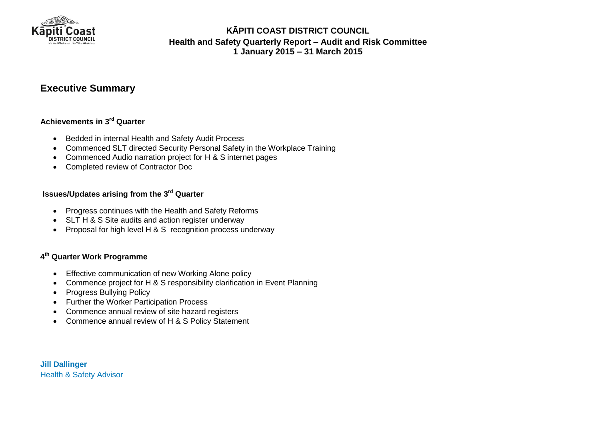

# **Executive Summary**

### **Achievements in 3 rd Quarter**

- Bedded in internal Health and Safety Audit Process
- Commenced SLT directed Security Personal Safety in the Workplace Training
- Commenced Audio narration project for H & S internet pages
- Completed review of Contractor Doc

#### **Issues/Updates arising from the 3 rd Quarter**

- Progress continues with the Health and Safety Reforms
- SLT H & S Site audits and action register underway
- Proposal for high level H & S recognition process underway

### **4 th Quarter Work Programme**

- Effective communication of new Working Alone policy
- Commence project for H & S responsibility clarification in Event Planning
- Progress Bullying Policy
- Further the Worker Participation Process
- Commence annual review of site hazard registers
- Commence annual review of H & S Policy Statement

**Jill Dallinger** Health & Safety Advisor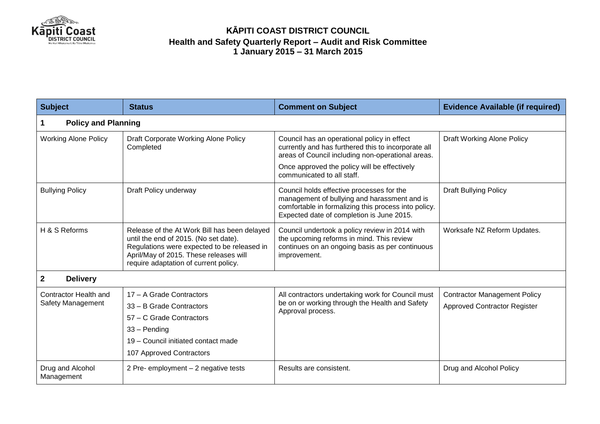

| <b>Subject</b>                             | <b>Status</b>                                                                                                                                                                                                           | <b>Comment on Subject</b>                                                                                                                                                                                                             | <b>Evidence Available (if required)</b>                                    |  |  |  |
|--------------------------------------------|-------------------------------------------------------------------------------------------------------------------------------------------------------------------------------------------------------------------------|---------------------------------------------------------------------------------------------------------------------------------------------------------------------------------------------------------------------------------------|----------------------------------------------------------------------------|--|--|--|
| <b>Policy and Planning</b>                 |                                                                                                                                                                                                                         |                                                                                                                                                                                                                                       |                                                                            |  |  |  |
| <b>Working Alone Policy</b>                | Draft Corporate Working Alone Policy<br>Completed                                                                                                                                                                       | Council has an operational policy in effect<br>currently and has furthered this to incorporate all<br>areas of Council including non-operational areas.<br>Once approved the policy will be effectively<br>communicated to all staff. | <b>Draft Working Alone Policy</b>                                          |  |  |  |
| <b>Bullying Policy</b>                     | Draft Policy underway                                                                                                                                                                                                   | Council holds effective processes for the<br>management of bullying and harassment and is<br>comfortable in formalizing this process into policy.<br>Expected date of completion is June 2015.                                        | <b>Draft Bullying Policy</b>                                               |  |  |  |
| H & S Reforms                              | Release of the At Work Bill has been delayed<br>until the end of 2015. (No set date).<br>Regulations were expected to be released in<br>April/May of 2015. These releases will<br>require adaptation of current policy. | Council undertook a policy review in 2014 with<br>the upcoming reforms in mind. This review<br>continues on an ongoing basis as per continuous<br>improvement.                                                                        | Worksafe NZ Reform Updates.                                                |  |  |  |
| $\mathbf{2}$<br><b>Delivery</b>            |                                                                                                                                                                                                                         |                                                                                                                                                                                                                                       |                                                                            |  |  |  |
| Contractor Health and<br>Safety Management | 17 - A Grade Contractors<br>33 - B Grade Contractors<br>57 – C Grade Contractors<br>$33 -$ Pending<br>19 - Council initiated contact made<br>107 Approved Contractors                                                   | All contractors undertaking work for Council must<br>be on or working through the Health and Safety<br>Approval process.                                                                                                              | <b>Contractor Management Policy</b><br><b>Approved Contractor Register</b> |  |  |  |
| Drug and Alcohol<br>Management             | 2 Pre- employment - 2 negative tests                                                                                                                                                                                    | Results are consistent.                                                                                                                                                                                                               | Drug and Alcohol Policy                                                    |  |  |  |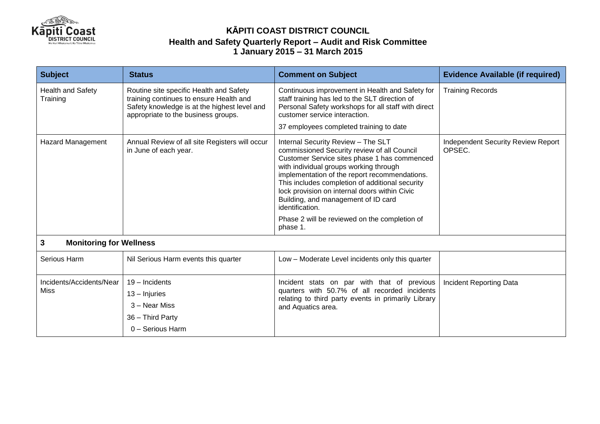

| <b>Subject</b>                       | <b>Status</b>                                                                                                                                                             | <b>Comment on Subject</b>                                                                                                                                                                                                                                                                                                                                                                                                                   | <b>Evidence Available (if required)</b>      |  |  |  |
|--------------------------------------|---------------------------------------------------------------------------------------------------------------------------------------------------------------------------|---------------------------------------------------------------------------------------------------------------------------------------------------------------------------------------------------------------------------------------------------------------------------------------------------------------------------------------------------------------------------------------------------------------------------------------------|----------------------------------------------|--|--|--|
| <b>Health and Safety</b><br>Training | Routine site specific Health and Safety<br>training continues to ensure Health and<br>Safety knowledge is at the highest level and<br>appropriate to the business groups. | Continuous improvement in Health and Safety for<br>staff training has led to the SLT direction of<br>Personal Safety workshops for all staff with direct<br>customer service interaction.                                                                                                                                                                                                                                                   | <b>Training Records</b>                      |  |  |  |
|                                      |                                                                                                                                                                           | 37 employees completed training to date                                                                                                                                                                                                                                                                                                                                                                                                     |                                              |  |  |  |
| <b>Hazard Management</b>             | Annual Review of all site Registers will occur<br>in June of each year.                                                                                                   | Internal Security Review - The SLT<br>commissioned Security review of all Council<br>Customer Service sites phase 1 has commenced<br>with individual groups working through<br>implementation of the report recommendations.<br>This includes completion of additional security<br>lock provision on internal doors within Civic<br>Building, and management of ID card<br>identification.<br>Phase 2 will be reviewed on the completion of | Independent Security Review Report<br>OPSEC. |  |  |  |
|                                      |                                                                                                                                                                           | phase 1.                                                                                                                                                                                                                                                                                                                                                                                                                                    |                                              |  |  |  |
| 3<br><b>Monitoring for Wellness</b>  |                                                                                                                                                                           |                                                                                                                                                                                                                                                                                                                                                                                                                                             |                                              |  |  |  |
| Serious Harm                         | Nil Serious Harm events this quarter                                                                                                                                      | Low - Moderate Level incidents only this quarter                                                                                                                                                                                                                                                                                                                                                                                            |                                              |  |  |  |
| Incidents/Accidents/Near<br>Miss     | 19 - Incidents                                                                                                                                                            | Incident stats on par with that of previous<br>quarters with 50.7% of all recorded incidents<br>relating to third party events in primarily Library<br>and Aquatics area.                                                                                                                                                                                                                                                                   | <b>Incident Reporting Data</b>               |  |  |  |
|                                      | $13 -$ Injuries                                                                                                                                                           |                                                                                                                                                                                                                                                                                                                                                                                                                                             |                                              |  |  |  |
|                                      | 3 – Near Miss                                                                                                                                                             |                                                                                                                                                                                                                                                                                                                                                                                                                                             |                                              |  |  |  |
|                                      | 36 - Third Party                                                                                                                                                          |                                                                                                                                                                                                                                                                                                                                                                                                                                             |                                              |  |  |  |
|                                      | 0 - Serious Harm                                                                                                                                                          |                                                                                                                                                                                                                                                                                                                                                                                                                                             |                                              |  |  |  |